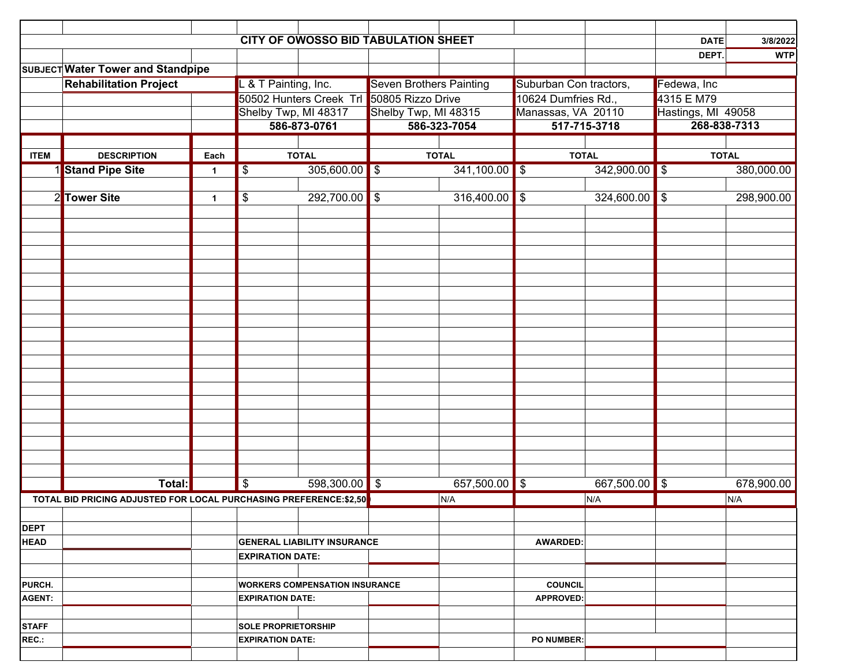|               | CITY OF OWOSSO BID TABULATION SHEET                                |                         |                                                               |                 |                                           |                      |                        |                    |                           |                    |  |
|---------------|--------------------------------------------------------------------|-------------------------|---------------------------------------------------------------|-----------------|-------------------------------------------|----------------------|------------------------|--------------------|---------------------------|--------------------|--|
|               |                                                                    |                         |                                                               |                 |                                           |                      |                        |                    | <b>DATE</b>               | 3/8/2022           |  |
|               |                                                                    |                         |                                                               |                 |                                           |                      |                        |                    | DEPT.                     | <b>WTP</b>         |  |
|               | SUBJECT Water Tower and Standpipe<br><b>Rehabilitation Project</b> |                         | . & T Painting, Inc.                                          |                 | <b>Seven Brothers Painting</b>            |                      | Suburban Con tractors, |                    | Fedewa, Inc               |                    |  |
|               |                                                                    |                         |                                                               |                 | 50502 Hunters Creek Trl 50805 Rizzo Drive |                      | 10624 Dumfries Rd.,    |                    | 4315 E M79                |                    |  |
|               |                                                                    |                         | Shelby Twp, MI 48317                                          |                 |                                           | Shelby Twp, MI 48315 |                        | Manassas, VA 20110 |                           | Hastings, MI 49058 |  |
|               |                                                                    |                         |                                                               | 586-873-0761    |                                           | 586-323-7054         | 517-715-3718           |                    | 268-838-7313              |                    |  |
|               |                                                                    |                         |                                                               |                 |                                           |                      |                        |                    |                           |                    |  |
| <b>ITEM</b>   | <b>DESCRIPTION</b>                                                 | Each                    | <b>TOTAL</b>                                                  |                 | <b>TOTAL</b>                              |                      | <b>TOTAL</b>           |                    | <b>TOTAL</b>              |                    |  |
|               | 1 Stand Pipe Site                                                  | 1                       | $305,600.00$ \$<br>\$                                         |                 | $341,100.00$ \$                           |                      | 342,900.00             |                    | 380,000.00<br>\$          |                    |  |
|               |                                                                    |                         |                                                               |                 |                                           |                      |                        |                    |                           |                    |  |
| $\mathbf{2}$  | <b>Tower Site</b>                                                  | 1                       | \$                                                            | 292,700.00      | $\sqrt{3}$                                | 316,400.00           | \$                     | 324,600.00         | \$                        | 298,900.00         |  |
|               |                                                                    |                         |                                                               |                 |                                           |                      |                        |                    |                           |                    |  |
|               |                                                                    |                         |                                                               |                 |                                           |                      |                        |                    |                           |                    |  |
|               |                                                                    |                         |                                                               |                 |                                           |                      |                        |                    |                           |                    |  |
|               |                                                                    |                         |                                                               |                 |                                           |                      |                        |                    |                           |                    |  |
|               |                                                                    |                         |                                                               |                 |                                           |                      |                        |                    |                           |                    |  |
|               |                                                                    |                         |                                                               |                 |                                           |                      |                        |                    |                           |                    |  |
|               |                                                                    |                         |                                                               |                 |                                           |                      |                        |                    |                           |                    |  |
|               |                                                                    |                         |                                                               |                 |                                           |                      |                        |                    |                           |                    |  |
|               |                                                                    |                         |                                                               |                 |                                           |                      |                        |                    |                           |                    |  |
|               |                                                                    |                         |                                                               |                 |                                           |                      |                        |                    |                           |                    |  |
|               |                                                                    |                         |                                                               |                 |                                           |                      |                        |                    |                           |                    |  |
|               |                                                                    |                         |                                                               |                 |                                           |                      |                        |                    |                           |                    |  |
|               |                                                                    |                         |                                                               |                 |                                           |                      |                        |                    |                           |                    |  |
|               |                                                                    |                         |                                                               |                 |                                           |                      |                        |                    |                           |                    |  |
|               |                                                                    |                         |                                                               |                 |                                           |                      |                        |                    |                           |                    |  |
|               |                                                                    |                         |                                                               |                 |                                           |                      |                        |                    |                           |                    |  |
|               |                                                                    |                         |                                                               |                 |                                           |                      |                        |                    |                           |                    |  |
|               |                                                                    |                         |                                                               |                 |                                           |                      |                        |                    |                           |                    |  |
|               |                                                                    |                         |                                                               | $598,300.00$ \$ |                                           |                      |                        |                    |                           |                    |  |
|               | Total:                                                             |                         | $\overline{\boldsymbol{\theta}}$                              |                 |                                           | 657,500.00 \$        |                        | 667,500.00         | $\boldsymbol{\mathsf{S}}$ | 678,900.00         |  |
|               | TOTAL BID PRICING ADJUSTED FOR LOCAL PURCHASING PREFERENCE: \$2,50 |                         |                                                               |                 |                                           | N/A                  |                        | N/A                |                           | N/A                |  |
| <b>DEPT</b>   |                                                                    |                         |                                                               |                 |                                           |                      |                        |                    |                           |                    |  |
| <b>HEAD</b>   |                                                                    |                         |                                                               |                 |                                           |                      | <b>AWARDED:</b>        |                    |                           |                    |  |
|               |                                                                    |                         | <b>GENERAL LIABILITY INSURANCE</b><br><b>EXPIRATION DATE:</b> |                 |                                           |                      |                        |                    |                           |                    |  |
|               |                                                                    |                         |                                                               |                 |                                           |                      |                        |                    |                           |                    |  |
| PURCH.        |                                                                    |                         | <b>WORKERS COMPENSATION INSURANCE</b>                         |                 |                                           |                      | <b>COUNCIL</b>         |                    |                           |                    |  |
| <b>AGENT:</b> |                                                                    | <b>EXPIRATION DATE:</b> |                                                               |                 |                                           |                      | <b>APPROVED:</b>       |                    |                           |                    |  |
|               |                                                                    |                         |                                                               |                 |                                           |                      |                        |                    |                           |                    |  |
| <b>STAFF</b>  |                                                                    |                         | <b>SOLE PROPRIETORSHIP</b>                                    |                 |                                           |                      |                        |                    |                           |                    |  |
| REC.:         |                                                                    |                         | <b>EXPIRATION DATE:</b>                                       |                 |                                           |                      | <b>PO NUMBER:</b>      |                    |                           |                    |  |
|               |                                                                    |                         |                                                               |                 |                                           |                      |                        |                    |                           |                    |  |